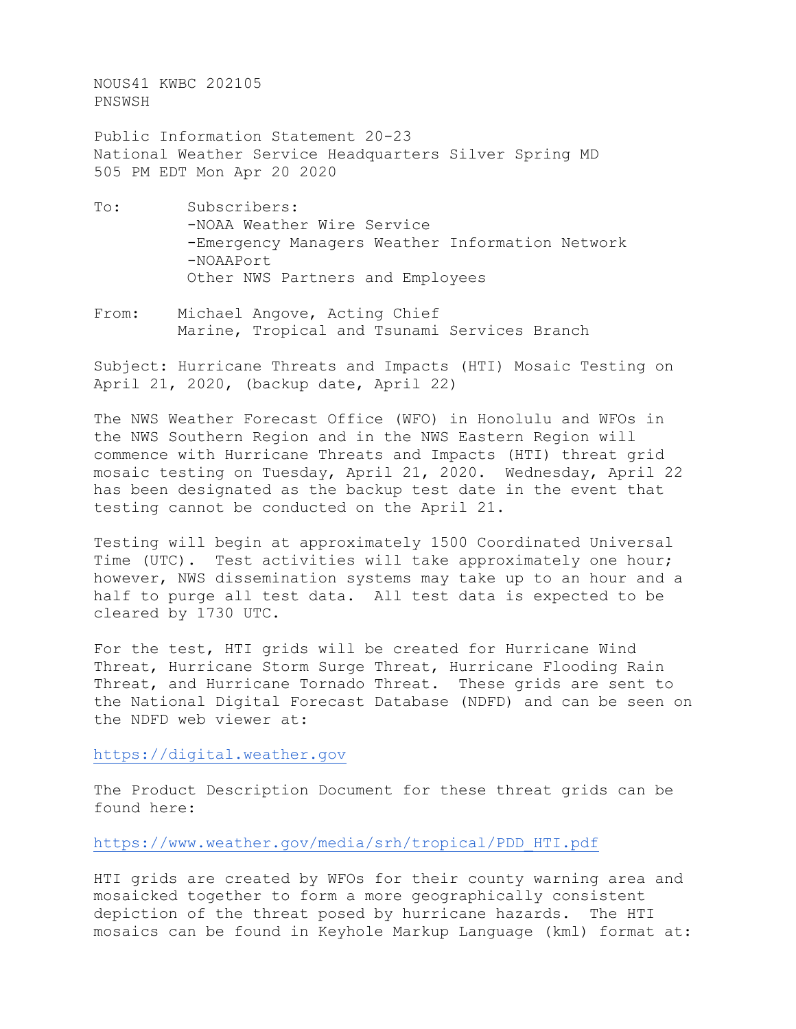NOUS41 KWBC 202105 PNSWSH

Public Information Statement 20-23 National Weather Service Headquarters Silver Spring MD 505 PM EDT Mon Apr 20 2020

- To: Subscribers: -NOAA Weather Wire Service -Emergency Managers Weather Information Network -NOAAPort Other NWS Partners and Employees
- From: Michael Angove, Acting Chief Marine, Tropical and Tsunami Services Branch

Subject: Hurricane Threats and Impacts (HTI) Mosaic Testing on April 21, 2020, (backup date, April 22)

The NWS Weather Forecast Office (WFO) in Honolulu and WFOs in the NWS Southern Region and in the NWS Eastern Region will commence with Hurricane Threats and Impacts (HTI) threat grid mosaic testing on Tuesday, April 21, 2020. Wednesday, April 22 has been designated as the backup test date in the event that testing cannot be conducted on the April 21.

Testing will begin at approximately 1500 Coordinated Universal Time (UTC). Test activities will take approximately one hour; however, NWS dissemination systems may take up to an hour and a half to purge all test data. All test data is expected to be cleared by 1730 UTC.

For the test, HTI grids will be created for Hurricane Wind Threat, Hurricane Storm Surge Threat, Hurricane Flooding Rain Threat, and Hurricane Tornado Threat. These grids are sent to the National Digital Forecast Database (NDFD) and can be seen on the NDFD web viewer at:

[https://digital.weather.gov](https://digital.weather.gov/)

The Product Description Document for these threat grids can be found here:

[https://www.weather.gov/media/srh/tropical/PDD\\_HTI.pdf](https://www.weather.gov/media/srh/tropical/PDD_HTI.pdf)

HTI grids are created by WFOs for their county warning area and mosaicked together to form a more geographically consistent depiction of the threat posed by hurricane hazards. The HTI mosaics can be found in Keyhole Markup Language (kml) format at: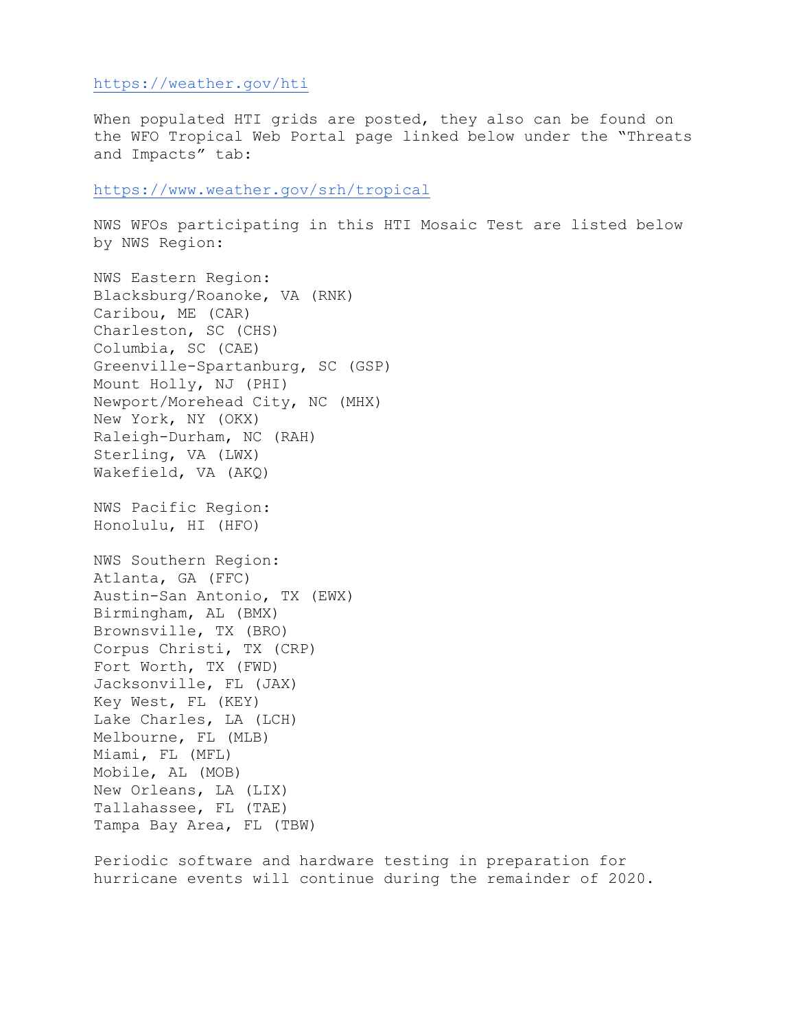## https://weather.gov/hti

When populated HTI grids are posted, they also can be found on the WFO Tropical Web Portal page linked below under the "Threats and Impacts" tab:

<https://www.weather.gov/srh/tropical>

NWS WFOs participating in this HTI Mosaic Test are listed below by NWS Region:

NWS Eastern Region: Blacksburg/Roanoke, VA (RNK) Caribou, ME (CAR) Charleston, SC (CHS) Columbia, SC (CAE) Greenville-Spartanburg, SC (GSP) Mount Holly, NJ (PHI) Newport/Morehead City, NC (MHX) New York, NY (OKX) Raleigh-Durham, NC (RAH) Sterling, VA (LWX) Wakefield, VA (AKQ) NWS Pacific Region: Honolulu, HI (HFO) NWS Southern Region: Atlanta, GA (FFC) Austin-San Antonio, TX (EWX) Birmingham, AL (BMX) Brownsville, TX (BRO) Corpus Christi, TX (CRP) Fort Worth, TX (FWD) Jacksonville, FL (JAX) Key West, FL (KEY) Lake Charles, LA (LCH) Melbourne, FL (MLB) Miami, FL (MFL) Mobile, AL (MOB) New Orleans, LA (LIX) Tallahassee, FL (TAE) Tampa Bay Area, FL (TBW)

Periodic software and hardware testing in preparation for hurricane events will continue during the remainder of 2020.